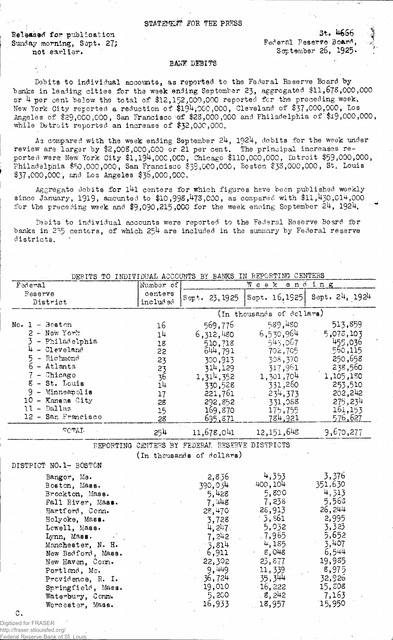## STATEMENT FOR THE PRESS

Released for publication 5t. 4666.<br>Sunday morning, Sept. 27: 4666. Sunday morning, Sept. 27; not earlier. September 26, 1925.

## BAST? DEBITS

Debits to individual accounts, as reported to the Federal Reserve Board by banks in leading cities for the week ending September 23, aggregated \$11,678,000,000 or  $4$  per cent below the total of \$12,152,000,000 reported for the preceding week. New York City reported a reduction of \$194,000,000, Cleveland of \$37,000,000, Los Angeles of \$29,000,000, San Francisco of \$28,000,000 and Philadelphia of \$19,000,000, while Detroit reported an increase of \$32,000,000.

As compared with the week ending September 24, 1924, debits for the week under review are larger by \$2,008,000,000 or 21 per cent. The principal increases reported we ret New York City \$1,194,000,000, Chicago \$110,000,000, Detroit \$59,000,000, Philadelphia \$50,000,000, San Francisco \$39)000,000, Boston \$38,000,000, St. Louis \$37,000,000, and Los Angeles \$36,000,000. •

Aggregate debits for  $141$  centers for which figures have been published weekly since January, 1919, amounted to  $$10,998,473,000$ , as compared with  $$11,430,014,000$ for the preceding week and  $$9,090,215,000$  for the week ending September 24, 1924.

Debits to individual accounts were reported to the Federal Beserve Board for banks in 255 centers, of which 254 are included in the summary by Federal reserve districts.

| DEBITS TO INDIVIDUAL ACCOUNTS BY BANKS IN REPORTING CENTERS                                                                                                                                                                                                                                                  |                                               |                                                                                                                                                      |                                                                                                                                                          |                                                                                                                                                       |
|--------------------------------------------------------------------------------------------------------------------------------------------------------------------------------------------------------------------------------------------------------------------------------------------------------------|-----------------------------------------------|------------------------------------------------------------------------------------------------------------------------------------------------------|----------------------------------------------------------------------------------------------------------------------------------------------------------|-------------------------------------------------------------------------------------------------------------------------------------------------------|
| Federal                                                                                                                                                                                                                                                                                                      | Number of                                     |                                                                                                                                                      | Week                                                                                                                                                     | ending                                                                                                                                                |
| Reserve<br>District                                                                                                                                                                                                                                                                                          | centers<br>included                           | Sept. 23, 1925                                                                                                                                       | Sept. 16, 1925                                                                                                                                           | Sept. 24, 1924                                                                                                                                        |
|                                                                                                                                                                                                                                                                                                              |                                               |                                                                                                                                                      | (In thousands of dellars)                                                                                                                                |                                                                                                                                                       |
| $No. 1 - Boston$<br>$2 -$ New York<br>3 - Philadelphia<br>- Cleveland<br>- Richmond<br>$6 -$ Atlanta                                                                                                                                                                                                         | 16<br>14<br>18<br>22<br>23<br>$2\overline{3}$ | 569,776<br>6,312,480<br>510,718<br>644,791<br>300,913<br>314,129                                                                                     | 589,480<br>6,530,964<br>543,067<br>702,705<br>308,370<br>317,961                                                                                         | 513,859<br>5,078,103<br>455,036<br>560,115<br>250,658<br>238,560                                                                                      |
| - Chicago<br>- St. Louis<br>3<br>- Minneapolis<br>9<br>10 - Kansas City<br>$11 - Dal$ las<br>12 - San Francisco                                                                                                                                                                                              | 36<br>14<br>17<br>28<br>15<br>28              | 1, 314, 352<br>330,528<br>221,761<br>292,852<br>169,870<br>695,871                                                                                   | 1,301,704<br>331,260<br>234,373<br>331,088<br>175,755<br>784,921                                                                                         | 1,105,180<br>253,510<br>202,242<br>275,234<br>161,153<br>576,627                                                                                      |
| TOTAL.                                                                                                                                                                                                                                                                                                       | 254                                           | 11,678,041                                                                                                                                           | 12, 151, 648                                                                                                                                             | 9,670,277                                                                                                                                             |
| DISTRICT NO. 1- BOSTON                                                                                                                                                                                                                                                                                       |                                               | REPORTING CENTERS BY FEDERAL RESERVE DISTRICTS<br>(In thousands of dollars)                                                                          |                                                                                                                                                          |                                                                                                                                                       |
| Bangor, Ma.<br>Boston, Mass.<br>Brockton, Mass.<br>Fall River, Mass.<br>Hartford, Conn.<br>Holyoke, Mass.<br>Lowell, Mass.<br>Lynn, Mass.<br>Manchester, N. H.<br>New Bedford, Mass.<br>New Haven, Conn.<br>Portland, Me.<br>Providence, R. I.<br>Springfield, Mass.<br>Waterbury, Conn.<br>Worcester, Mass. |                                               | 2,836<br>390,034<br>5,428<br>7,448<br>28,470<br>3,728<br>4, 247<br>7,242<br>3,814<br>6,911<br>22,302<br>9,449<br>36,724<br>19,010<br>5,200<br>16,933 | 4,353<br>400,104<br>5,800<br>7,238<br>28,913<br>3,861 ·<br>5,032<br>.7,965<br>4,185<br>8,048<br>23,877<br>11,339<br>35,344<br>16,222<br>.8,242<br>18,957 | 3,376<br>351,630<br>4, 313<br>5,563<br>26, 244<br>2,995<br>3,323<br>5,652<br>3,407<br>6,544<br>19,985<br>8,975<br>32,926<br>15,808<br>7,163<br>15,950 |

Digitized for FRASER

http://fraser.stlouisfed.org/ ederal Reserve Bank of St.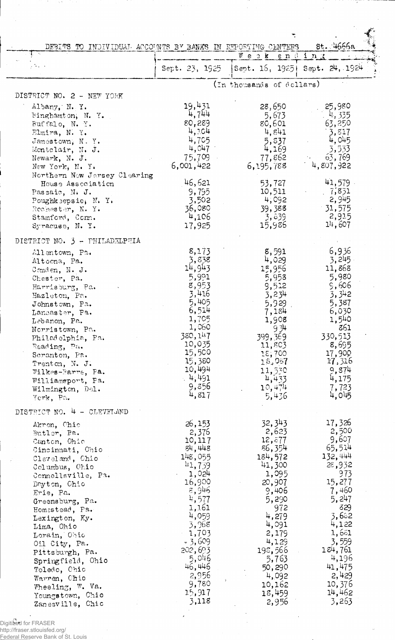| DEBITS TO INDIVIDUAL ACCOUNTS BY BANKS IN REPORTING CENTERS                                                                                                                                                                                                                                                                                                                                      |                                                                                                                                                                                                                   | Week ending                                                                                                                                                                                                    | $8t - 4666a$                                                                                                                                                                                              |
|--------------------------------------------------------------------------------------------------------------------------------------------------------------------------------------------------------------------------------------------------------------------------------------------------------------------------------------------------------------------------------------------------|-------------------------------------------------------------------------------------------------------------------------------------------------------------------------------------------------------------------|----------------------------------------------------------------------------------------------------------------------------------------------------------------------------------------------------------------|-----------------------------------------------------------------------------------------------------------------------------------------------------------------------------------------------------------|
|                                                                                                                                                                                                                                                                                                                                                                                                  | Sept. 23, 1925                                                                                                                                                                                                    | Sept. 16, 1925) Sept. 24, 1924                                                                                                                                                                                 |                                                                                                                                                                                                           |
|                                                                                                                                                                                                                                                                                                                                                                                                  |                                                                                                                                                                                                                   | (In thousands of dollars)                                                                                                                                                                                      |                                                                                                                                                                                                           |
| DISTRICT NO. 2 - NEW YORK                                                                                                                                                                                                                                                                                                                                                                        |                                                                                                                                                                                                                   |                                                                                                                                                                                                                |                                                                                                                                                                                                           |
| Albany, N.Y.<br>Binghamton, N.Y.<br>Buffalo, N.Y.<br>Elmira, N. Y.<br>Jamestown, N.Y.<br>Montelair, N. J.<br>Newark, N. J.<br>New York, N. Y.                                                                                                                                                                                                                                                    | 19,431<br>4,744<br>80,289<br>4,104<br>4,705<br>4,047<br>75,709<br>6,001,422                                                                                                                                       | 28,650<br>5,673<br>gC, 601<br>4,841<br>5,837<br>4,169<br>77,862<br>6, 195, 788                                                                                                                                 | 25,980<br>4,335<br>63,250<br>3,817<br>4,045<br>3,533<br>63,769<br>4,807,922                                                                                                                               |
| Northern New Jersey Clearing<br>House Association<br>Passaic, N. J.<br>Poughkeepsie, N. Y.<br>Rochester, N. Y.<br>Stamford, Com.<br>Syracuse, N. Y.                                                                                                                                                                                                                                              | 46,621<br>9,795<br>3,502<br>36,080<br>4,106<br>17,925                                                                                                                                                             | 53,727<br>10,511<br>4,092<br>39,388<br>3,639<br>15,986                                                                                                                                                         | 41,579<br>. 7,831<br>2,945<br>31,575<br>2,915<br>14,607                                                                                                                                                   |
| DISTRICT NO. 3 - PHILADELPEIA                                                                                                                                                                                                                                                                                                                                                                    |                                                                                                                                                                                                                   |                                                                                                                                                                                                                |                                                                                                                                                                                                           |
| Allentown, Pa.<br>Altoona, Pa.<br>Comden, N. J.<br>Chester, Pa.<br>Harrisburg, Pa.<br>Hazleton, Pa.<br>Johnstown, Pa.<br>Lancaster, Pa.<br>Lebanon, Pa.<br>Norristown, Pa.<br>Philadelphia, Pa.<br>Reading, Pa.<br>Scranton, Pa.<br>Trenton, N. J.<br>Wilkes-Barre, Pa.<br>Williamsport, Pa.<br>Wilmington, Del.<br>Yerk, Pa.                                                                    | 8, 173<br>3,838<br>14,943<br>5,991<br>8,953<br>3,416<br>5,405<br>6,514<br>1,705<br>1,060<br>380,147<br>10,035<br>15,500<br>15,380<br>10,494<br>4,491<br>9,856<br>4,817                                            | 8,591<br>4,029<br>15,956<br>5,958<br>9,512<br>3,234<br>5,929<br>7,184<br>1,908<br>$93 +$<br>399,369<br>11,803<br>18,700<br>18,087<br>11,530<br>4,433<br>10,474<br>5,436                                        | 6,936<br>3,245<br>11,868<br>5,980<br>9,606<br>3,342<br>5,387<br>6,030<br>1,540<br>861<br>330,513<br>8,695<br>17,900<br>17,316<br>9,874<br>4,175<br>7,723<br>4,045                                         |
| DISTRICT NO. 4 - CLEVELAND                                                                                                                                                                                                                                                                                                                                                                       |                                                                                                                                                                                                                   |                                                                                                                                                                                                                |                                                                                                                                                                                                           |
| Akron, Chic<br>Butler, Pa.<br>Canton, Ohio<br>Cincinnati, Ohio<br>Cleveland, Chio<br>Columbus, Ohio<br>Connellsville, Pa.<br>Dayton, Chio<br>Erie, Pa.<br>Greensburg, Pa.<br>Homestead, Pa.<br>Lexington, Ky.<br>Lima, Ohio<br>Lorain, Ohio<br>Oil City, Pa.<br>Pittsburgh, Pa.<br>Springfield, Ohio<br>Toledo, Ohio<br>Warren, Chio<br>Wheeling, W. Va.<br>Youngstown, Ohio<br>Zanesville, Chic | 26,153<br>2,376<br>10, 117<br>84,448<br>148,055<br>41,739<br>1,024<br>16,900<br>8,946<br>4,577<br>1,161<br>4,059<br>3,968<br>1,703<br>$-3,609$<br>202,693<br>5,046<br>46,446<br>2,956<br>9,780<br>15,917<br>3,118 | 32, 343<br>2,623<br>12, 877<br>86,354<br>184,572<br>41,300<br>1,095<br>20,907<br>9,406<br>5,290<br>972<br>4,279<br>4,091<br>2,179<br>4,129<br>198,566<br>5,763<br>50,290<br>4,092<br>10,162<br>18,459<br>2,956 | 17,326<br>2,500<br>9,607<br>65,514<br>132,444<br>28,932<br>973<br>15,277<br>7,460<br>5,247<br>829<br>3,682<br>4,122<br>1,661<br>3,559<br>184,761<br>4,196<br>41,475<br>2,429<br>10,376<br>14,462<br>3,263 |

 $\ddot{\phantom{a}}$ 

μ.,

Digitized for FRASER<br>http://fraser.stlouisfed.org/<br>Federal Reserve Bank of St. Louis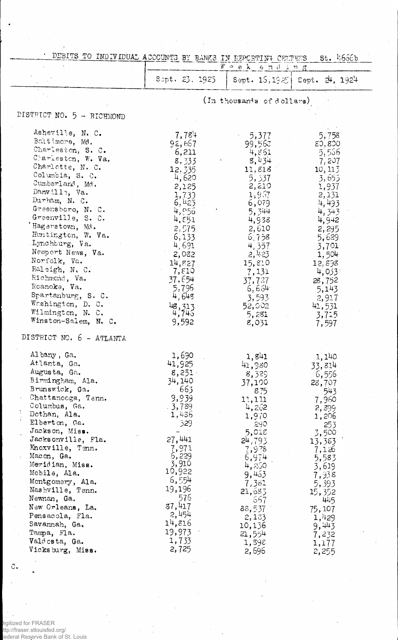| DEBITS TO INDIVIDUAL ACCOUNTS BY BANKS IN REPORTING CENTERS<br>$5t.$ 4666b                                                                                                                                                                                                                                                                                                                                                                                                                 |                                                                                                                                                                                                                   |                                                                                                                                                                                                                        |                                                                                                                                                                                                                      |
|--------------------------------------------------------------------------------------------------------------------------------------------------------------------------------------------------------------------------------------------------------------------------------------------------------------------------------------------------------------------------------------------------------------------------------------------------------------------------------------------|-------------------------------------------------------------------------------------------------------------------------------------------------------------------------------------------------------------------|------------------------------------------------------------------------------------------------------------------------------------------------------------------------------------------------------------------------|----------------------------------------------------------------------------------------------------------------------------------------------------------------------------------------------------------------------|
|                                                                                                                                                                                                                                                                                                                                                                                                                                                                                            |                                                                                                                                                                                                                   | Week ending                                                                                                                                                                                                            |                                                                                                                                                                                                                      |
|                                                                                                                                                                                                                                                                                                                                                                                                                                                                                            | $S$ opt, $23.1925$                                                                                                                                                                                                |                                                                                                                                                                                                                        | Sept. $15,192$ Cept. $24, 1924$                                                                                                                                                                                      |
|                                                                                                                                                                                                                                                                                                                                                                                                                                                                                            |                                                                                                                                                                                                                   | (In thousands of dollars)                                                                                                                                                                                              |                                                                                                                                                                                                                      |
| DISTRICT NO. 5 - RICHMOND                                                                                                                                                                                                                                                                                                                                                                                                                                                                  |                                                                                                                                                                                                                   |                                                                                                                                                                                                                        |                                                                                                                                                                                                                      |
|                                                                                                                                                                                                                                                                                                                                                                                                                                                                                            |                                                                                                                                                                                                                   |                                                                                                                                                                                                                        |                                                                                                                                                                                                                      |
| Asheville, N. C.<br>Baltimore, Md.<br>Charleston, S. C.<br>Charleston, W. Va.<br>Charlotte, N. C.<br>Columbia, S. C.<br>Cumberland, Md.<br>Danville, Va.<br>Durham, N. C.<br>Greensboro, N. C.<br>Greenville, S. C.<br>Hagerstown, Md.<br>Huntington, W. Va.<br>Lynchburg, Va.<br>Newport News, Va.<br>Norfolk, Va.<br>Raleigh, N. C.<br>Richmond, Va.<br>Roanoke, Va.<br>Spartanburg, S. C.<br>Washington, D. C.<br>Wilmington, N. C.<br>Winston-Salem, N. C.<br>DISTRICT NC. 6 - ATLANTA | 7,784<br>92,667<br>6,211<br>8,333<br>12,335<br>4,620<br>2,125<br>1,733<br>6,425<br>4,956<br>4,551<br>2,575<br>6,133<br>4,691<br>2,082<br>14,827<br>7,810<br>37,654<br>5,796<br>4,645<br>48,313<br>4,745<br>9,592  | 5,377<br>99,563<br>4,861<br>8,434<br>11,818<br>5,337<br>2,210<br>1,957<br>6,079<br>5,344<br>4,938<br>2,610<br>6,758<br>4,357<br>2,423<br>15,810<br>7,131<br>37,727<br>6,664<br>3,593<br>52,002<br>5,281<br>8,031       | 5,758<br>80,800<br>5.556<br>7,207<br>10, 113<br>3,655<br>1,937<br>2,131<br>4,493<br>4, 343<br>4,942<br>2,295<br>5,629<br>3,701<br>1,504<br>12,898<br>4,033<br>28,752<br>5,143<br>2,917<br>41,531<br>3,7.5<br>7,597   |
| Albany, Ga.<br>Atlanta, Ga.<br>Augusta, Ga.<br>Birmingham, Ala.<br>Brunswick, Ga.<br>Chattanocga, Tenn.<br>Columbus, Ga.<br>Dothan, Ala.<br>Elberton, Ga.<br>Jackson, Miss.<br>Jacksonville, Fla.<br>Knoxville, Tenn.<br>Macon, Ga.<br>Meridian, Miss.<br>Mobile, Ala.<br>Montgomery, Ala.<br>Nashville, Tenn.<br>Newnan, Ga.<br>New Orleans, La.<br>Pensacola, Fla.<br>Savannah, Ga.<br>Tampa, Fla.<br>Valdesta, Ga.<br>Vicksburg, Miss.                                                  | 1,690<br>41,925<br>8,251<br>34,140<br>663<br>9,939<br>$-3,739$<br>1,436<br>329<br>27, 441<br>7,971<br>6,229<br>3,910<br>10,922<br>6,554<br>19,196<br>576<br>37,417<br>2,454<br>14,816<br>19,973<br>1,733<br>2,725 | 1,841<br>41,980<br>8,329<br>37,100<br>875<br>11,111<br>4,262<br>1,970<br>290<br>5,018<br>24,793<br>7,978<br>6,974<br>4,860<br>9,453<br>7,381<br>21,683<br>667<br>88,537<br>2,133<br>10,136<br>21,554<br>1,398<br>2,696 | 1,140<br>33,814<br>6,556<br>28,707<br>543<br>7,960<br>2,399<br>1,206<br>253<br>3,500<br>13,383<br>7,126<br>5,583<br>3,619<br>7,938<br>5,393<br>15,352<br>445<br>75, 107<br>1,429<br>9,443<br>7,232<br>1,177<br>2,255 |
| $\mathbb{C}$ .                                                                                                                                                                                                                                                                                                                                                                                                                                                                             |                                                                                                                                                                                                                   |                                                                                                                                                                                                                        |                                                                                                                                                                                                                      |

 $\ddot{\phantom{a}}$ 

 $\bar{\gamma}$ Digitized for FRASER<br>ttp://fraser.stlouisfed.org/<br>|ederal Reserve Bank of St. Louis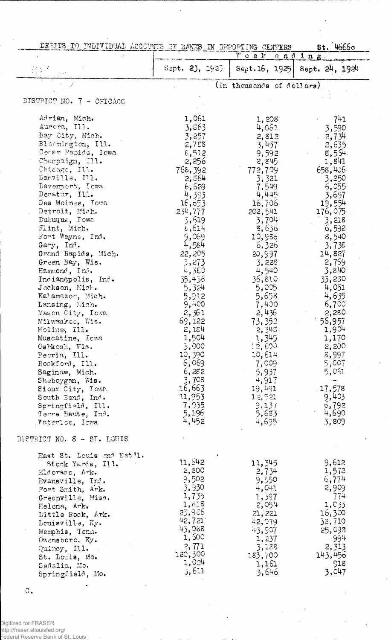| DEBITS TO INDIVIDUAL ACCOUNTS BY RANKS IN IMPOPTING CENTERS                                                                                                                                                                                                                                                                                                                                                                                                                                                                                                                                                                                                                                |                                                                                                                                                                                                                                                                                                                                              | $W$ e e $k$                                                                                                                                                                                                                                                                                                                                   | 5t.4666c                                                                                                                                                                                                                                                                                                                                      |
|--------------------------------------------------------------------------------------------------------------------------------------------------------------------------------------------------------------------------------------------------------------------------------------------------------------------------------------------------------------------------------------------------------------------------------------------------------------------------------------------------------------------------------------------------------------------------------------------------------------------------------------------------------------------------------------------|----------------------------------------------------------------------------------------------------------------------------------------------------------------------------------------------------------------------------------------------------------------------------------------------------------------------------------------------|-----------------------------------------------------------------------------------------------------------------------------------------------------------------------------------------------------------------------------------------------------------------------------------------------------------------------------------------------|-----------------------------------------------------------------------------------------------------------------------------------------------------------------------------------------------------------------------------------------------------------------------------------------------------------------------------------------------|
|                                                                                                                                                                                                                                                                                                                                                                                                                                                                                                                                                                                                                                                                                            |                                                                                                                                                                                                                                                                                                                                              |                                                                                                                                                                                                                                                                                                                                               | ending                                                                                                                                                                                                                                                                                                                                        |
|                                                                                                                                                                                                                                                                                                                                                                                                                                                                                                                                                                                                                                                                                            | Sept. 23, 1925                                                                                                                                                                                                                                                                                                                               | Sept.16, 1925                                                                                                                                                                                                                                                                                                                                 | Sept. 24, 1924                                                                                                                                                                                                                                                                                                                                |
|                                                                                                                                                                                                                                                                                                                                                                                                                                                                                                                                                                                                                                                                                            |                                                                                                                                                                                                                                                                                                                                              | (In thousands of dollars)                                                                                                                                                                                                                                                                                                                     |                                                                                                                                                                                                                                                                                                                                               |
| DISTRICT NO. 7 - CHICAGO                                                                                                                                                                                                                                                                                                                                                                                                                                                                                                                                                                                                                                                                   |                                                                                                                                                                                                                                                                                                                                              |                                                                                                                                                                                                                                                                                                                                               |                                                                                                                                                                                                                                                                                                                                               |
| Adrian, Mich.<br>Aurora, Ill.<br>Bay City, Mich.<br>Bloomington, Ill.<br>Cedar Bapids, Iowa<br>Charpaign, Ill.<br>Chicago, Ill.<br>Danville, Ill.<br>Davemort, Iowa<br>Decatur, Ill.<br>Des Moines, Iowa<br>Detroit, Mich.<br>Dubuque, Iowa<br>Flint, Mich.<br>Fort Wayne, Ind.<br>Gary, Ind.<br>Grand Rapids, Mich.<br>Green Bay, Wis.<br>Hammond, Ind.<br>Indianapolis, Ind.<br>Jackson, Mich.<br>Kalamazoo, Mich.<br>Lansing, Mich.<br>Mason City, Iowa<br>Milwaukee, Wis.<br>Moline, Ill.<br>Muscatine, Icwa<br>Oshkosh, Wis.<br>Pecria, Ill.<br>Rockford, Ill.<br>Saginaw, Mich.<br>Sheboygan, Wis.<br>Sioux City, Iowa<br>South Bend, Ind.<br>Springfield, Ill.<br>Terre Haute, Ind. | 1,061<br>3,863<br>3,257<br>2,753<br>8,512<br>2,256<br>768,392<br>2,564<br>6,629<br>4,393<br>16,653<br>234,777<br>3,619<br>6,614<br>9,069<br>4,584<br>22, 205<br>3,273<br>4,360<br>35,436<br>5,324<br>5,912<br>9,400<br>2,361<br>69,122<br>2,184<br>1,504<br>3,000<br>10,390<br>6,069<br>6,282<br>3,708<br>16,663<br>71,953<br>7,935<br>5,196 | 1,208<br>4,061<br>2,812<br>3,457<br>9,592<br>2,845<br>772,799<br>3,321<br>7,549<br>4,445<br>16,706<br>202,541<br>3,704<br>8,636<br>10,936<br>6,326<br>20,997<br>3,228<br>4,540<br>36,810<br>5,005<br>5,658<br>7,400<br>2,436<br>73,352<br>2,343<br>1,345<br>12,600<br>10,614<br>7,009<br>5,937<br>4,917<br>19,491<br>12,521<br>9,137<br>5,683 | 741<br>3,590<br>2,734<br>2,635<br>8,554.<br>1,841<br>658,406<br>3,250<br>6,055<br>3,697<br>19,554<br>176,075<br>3,218<br>6,592<br>, 8,540<br>3,738<br>14,827<br>2,759<br>3,840<br>33,230<br>4,051<br>4,635<br>6,700<br>2,280<br>56,957<br>1,904<br>1,170<br>2,200<br>8,997<br>5,007<br>5,061<br>17,578<br>9,403<br>6,792<br>$\gamma$<br>4,690 |
| Waterloo, Iewa                                                                                                                                                                                                                                                                                                                                                                                                                                                                                                                                                                                                                                                                             | 4,452                                                                                                                                                                                                                                                                                                                                        | 4,695                                                                                                                                                                                                                                                                                                                                         | 3,809                                                                                                                                                                                                                                                                                                                                         |
| DISTRICT NO. 8 - ST. LOUIS                                                                                                                                                                                                                                                                                                                                                                                                                                                                                                                                                                                                                                                                 |                                                                                                                                                                                                                                                                                                                                              |                                                                                                                                                                                                                                                                                                                                               |                                                                                                                                                                                                                                                                                                                                               |
| East St. Louis and Nat'l.<br>Stock Yards, Ill.<br>Eldorado, Ark.<br>Evansville, Ind.<br>Fort Smith, Ark.<br>Greenville, Miss.<br>Helena, Ark.<br>Little Rock, Ark.<br>Louisville, Ky.<br>Memphis, Tenn.<br>Owensboro, Ky.<br>Quincy, Ill.<br>St. Louis, Mo.<br>Sedalia, Mo.<br>Springfield, Mo.                                                                                                                                                                                                                                                                                                                                                                                            | 11,642<br>2,800<br>9,502<br>3,930<br>1,735<br>1,818<br>23,906<br>42,721<br>45,088<br>1,500<br>2,771<br>180,300<br>1,024<br>3,611                                                                                                                                                                                                             | 11,345<br>2,734<br>9,550<br>4,041<br>1,397<br>2,054<br>21,221<br>42,079<br>43,907<br>1,237<br>3,188<br>183,700<br>1,161<br>3,646                                                                                                                                                                                                              | 9,612<br>1,572<br>6,774<br>2,909<br>774<br>1,033<br>16,300<br>38,710<br>25,093<br>-994<br>2,313<br>143,456<br>918<br>3,047                                                                                                                                                                                                                    |

 $\ddot{\rm C}$  .

Digitized for FRASER<br>http://fraser.stlouisfed.org/<br>Federal Reserve Bank of St. Louis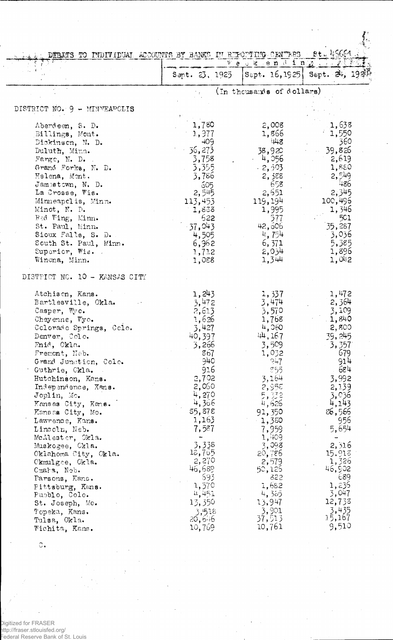| DEBLIS TO INDIVIDUAL ACCOUNTS BY BANKS IN REPOPTING CENTRES |                | We dkend in K.                        | Bt. 45661        |
|-------------------------------------------------------------|----------------|---------------------------------------|------------------|
|                                                             | Sapt. 23, 1925 | Sept. 16, 1925 Sept. $2\frac{1}{2}$ , |                  |
|                                                             |                | (In thousands of dollars)             |                  |
| DISTRICT NO. 9 - MINNEAPOLIS                                |                |                                       |                  |
|                                                             |                |                                       |                  |
| Aberdeen, S. D.                                             | 1,780          | 2,008                                 | 1,638            |
| Billings, Mont.                                             | 1,977          | 1,866                                 | 1,550            |
| Dickinson, N. D.                                            | 409            | ਼ਾਂਜ਼ਿੰ                               | 360              |
| Duluth, Minn.                                               | 36,273         | 38,920                                | 39,826           |
| Farge, $N_e$ . $D_e$ .                                      | 3,758          | 4,056                                 | 2,619            |
| Grand Forks, N. D.                                          | 3,355          | $-2,503$                              | 1,880            |
| Helena, Mont.                                               | 3,786          | 2,388                                 | 2,549            |
| Jamestown, N. D.                                            | 605            | 658.                                  | 486              |
| La Crosse, Wis.                                             | 2,545          | 2,651                                 | 2,345            |
| Minneapclis, Minn.<br>Minot, N. D.                          | 113,453        | 119,194                               | 100,496<br>1,346 |
| Bed Wing, Minn.                                             | 1,838<br>622   | 1,995<br>577                          | 501              |
| St. Paul, Minn.                                             | $-37,043$      | 42,506                                | 35,287           |
| Sioux Falls, S. D.                                          | 4,505          | 4,754                                 | 3,036            |
| South St. Paul, Minn.                                       | 6,962          | 6,371                                 | 5,385            |
| Superior, Wis.                                              | 1,712          | 2,034                                 | 1,896            |
| Winona, Minn.                                               | 1,088          | 1,344                                 | 1,042            |
| DISTRICT NO. 10 - KANSAS CITY                               |                |                                       |                  |
| Atchison, Kans.                                             | 1,243          | 1,337                                 | 1,472            |
| Bartlesville, Okla.                                         | 3,472          | 3,474                                 | 2,364            |
| Casper, Wyc.                                                | 2,613<br>1,626 | 3,570                                 | 3,109            |
| Cheyenne, Wyo.<br>Colorado Springs, Colo.                   | 3,427          | 1,768<br>4,060                        | 1,840<br>2,800   |
| Denver, Colo.                                               | 40,397         | 44, 167                               | 39, 245          |
| Enid, Okla.                                                 | 3,266          | 3,509                                 | 3,357            |
| Fremont, Neb.                                               | 867            | 1,032                                 | 679              |
| Grand Junction, Colo.                                       | 940            | 947                                   | 914              |
| Guthrie, Ckla.                                              | 916            | 255                                   | 684              |
| Hutchinson, Kans.                                           | 2,702          | 3,164                                 | 3,992            |
| Independence, Kans.                                         | 2,060          | 2,958                                 | 2,139            |
| Joplin, Mc.                                                 | 4,270          | 5,332                                 | 3,036            |
| Kansas City, Kans.                                          | 4,366          | 4,626                                 | 4,143            |
| Kansas City, Mo.                                            | 85,878         | 91,350                                | 86,566           |
| Lawrence, Kans.                                             | 1,163          | $-1,350$                              | 956              |
| Lincoln, Neb.                                               | 7,587          | 7,959                                 | 5,654            |
| McAlester, Okla.                                            | 3,338          | 1,409                                 |                  |
| Muskogee, Ckla.<br>Oklahoma City, Okla.                     | 18,765         | 3,098<br>20,786                       | 2,316<br>15,918  |
| Okmulgee, Okla.                                             | 2,270          | 2,579                                 | 1,326            |
| Cmaha, Neb.                                                 | 46,689         | 50,125                                | 46,902           |
| Parsons, Kans.                                              | 693            | 822                                   | 689              |
| Pittsburg, Kans.                                            | 1,570          | 1,682                                 | 1,235            |
| Pueblo, Colo.                                               | $\mu, 451$     | 4,365                                 | 3,047            |
| St. Joseph, Mo.                                             | 13,350         | 13,947                                | 12,733           |
| Topeka, Kans.                                               | 3,518          | 3,901                                 | 3,435            |
| Tulsa, Okla.                                                | 20,646         | 37,513                                | 15,167           |
| Wichita, Kans.                                              | 10,769         | 10,761                                | 9,510            |

 $\ddot{\circ}$ .

.<br>Digitized for FRASER<br>http://fraser.stlouisfed.org/<br>Federal Reserve Bank of St. Louis